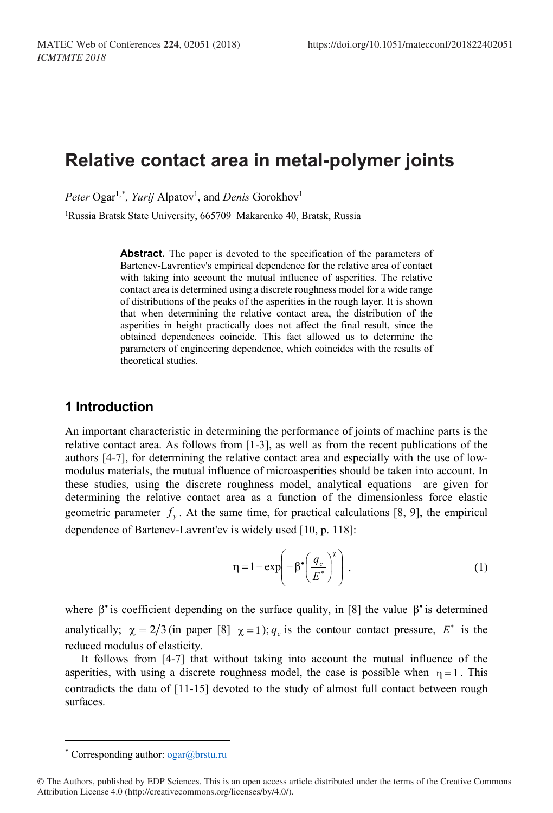# **Relative contact area in metal-polymer joints**

 $Peter \ Ogar^{1,*}, \ Yurij \ Alpatov^1,$  $Peter \ Ogar^{1,*}, \ Yurij \ Alpatov^1,$  $Peter \ Ogar^{1,*}, \ Yurij \ Alpatov^1,$  and *Denis* Gorokhov<sup>1</sup>

<sup>1</sup>Russia Bratsk State University, 665709 Makarenko 40, Bratsk, Russia

Abstract. The paper is devoted to the specification of the parameters of Bartenev-Lavrentiev's empirical dependence for the relative area of contact with taking into account the mutual influence of asperities. The relative contact area is determined using a discrete roughness model for a wide range of distributions of the peaks of the asperities in the rough layer. It is shown that when determining the relative contact area, the distribution of the asperities in height practically does not affect the final result, since the obtained dependences coincide. This fact allowed us to determine the parameters of engineering dependence, which coincides with the results of theoretical studies.

## **1 Introduction**

An important characteristic in determining the performance of joints of machine parts is the relative contact area. As follows from [1-3], as well as from the recent publications of the authors [4-7], for determining the relative contact area and especially with the use of lowmodulus materials, the mutual influence of microasperities should be taken into account. In these studies, using the discrete roughness model, analytical equations are given for determining the relative contact area as a function of the dimensionless force elastic geometric parameter  $f_y$ . At the same time, for practical calculations [8, 9], the empirical dependence of Bartenev-Lavrent'ev is widely used [10, p. 118]:

$$
\eta = 1 - \exp\left(-\beta^{\bullet} \left(\frac{q_c}{E^*}\right)^{\chi}\right),\tag{1}
$$

where  $\beta^*$  is coefficient depending on the surface quality, in [8] the value  $\beta^*$  is determined analytically;  $\chi = 2/3$  (in paper [8]  $\chi = 1$ );  $q_c$  is the contour contact pressure,  $E^*$  is the reduced modulus of elasticity.

It follows from [4-7] that without taking into account the mutual influence of the asperities, with using a discrete roughness model, the case is possible when  $\eta = 1$ . This contradicts the data of [11-15] devoted to the study of almost full contact between rough surfaces.

 $\overline{\phantom{a}}$ 

Corresponding author:  $ogar@brstu.ru$ 

<span id="page-0-0"></span><sup>©</sup> The Authors, published by EDP Sciences. This is an open access article distributed under the terms of the Creative Commons Attribution License 4.0 (http://creativecommons.org/licenses/by/4.0/).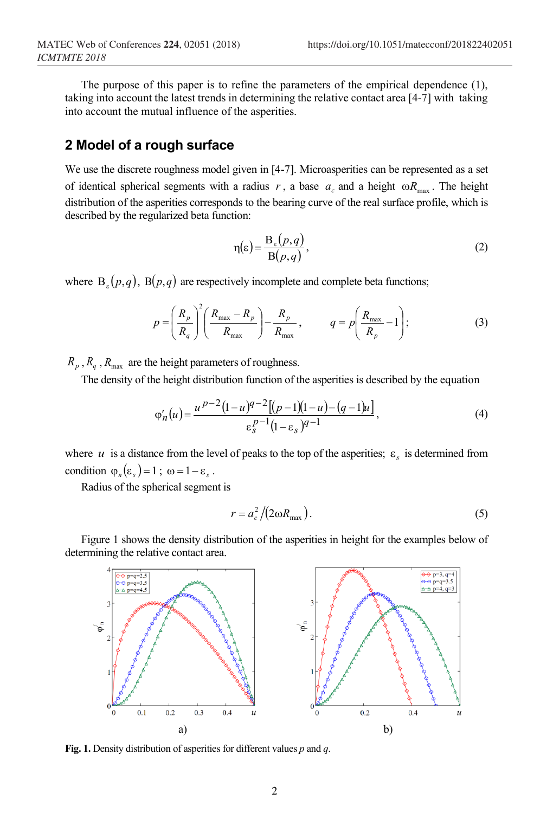The purpose of this paper is to refine the parameters of the empirical dependence (1), taking into account the latest trends in determining the relative contact area [4-7] with taking into account the mutual influence of the asperities.

#### **2 Model of a rough surface**

We use the discrete roughness model given in [4-7]. Microasperities can be represented as a set of identical spherical segments with a radius  $r$ , a base  $a_c$  and a height  $\omega R_{\text{max}}$ . The height distribution of the asperities corresponds to the bearing curve of the real surface profile, which is described by the regularized beta function:

$$
\eta(\varepsilon) = \frac{\mathbf{B}_{\varepsilon}(p,q)}{\mathbf{B}(p,q)},\tag{2}
$$

where  $B<sub>s</sub>(p,q)$ ,  $B(p,q)$  are respectively incomplete and complete beta functions;

$$
p = \left(\frac{R_p}{R_q}\right)^2 \left(\frac{R_{\text{max}} - R_p}{R_{\text{max}}}\right) - \frac{R_p}{R_{\text{max}}}, \qquad q = p \left(\frac{R_{\text{max}}}{R_p} - 1\right); \tag{3}
$$

 $R_p$ ,  $R_q$ ,  $R_{\text{max}}$  are the height parameters of roughness.

The density of the height distribution function of the asperities is described by the equation

$$
\varphi'_n(u) = \frac{u^{p-2}(1-u)^{q-2}[(p-1)(1-u)-(q-1)u]}{\varepsilon_s^{p-1}(1-\varepsilon_s)^{q-1}},\tag{4}
$$

where *u* is a distance from the level of peaks to the top of the asperities;  $\varepsilon$  is determined from condition  $\varphi_n(\varepsilon_s) = 1$ ;  $\omega = 1 - \varepsilon_s$ .

Radius of the spherical segment is

$$
r = a_c^2 / (2 \omega R_{\text{max}}). \tag{5}
$$

Figure 1 shows the density distribution of the asperities in height for the examples below of determining the relative contact area.



**Fig. 1.** Density distribution of asperities for different values *р* and *q*.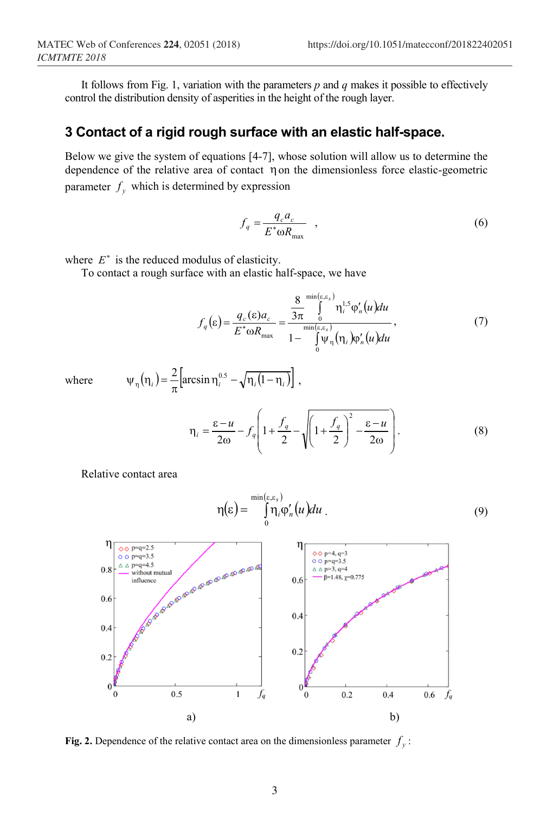It follows from Fig. 1, variation with the parameters *p* and *q* makes it possible to effectively control the distribution density of asperities in the height of the rough layer.

## **3 Contact of a rigid rough surface with an elastic half-space.**

Below we give the system of equations [4-7], whose solution will allow us to determine the dependence of the relative area of contact ηon the dimensionless force elastic-geometric parameter  $f_v$  which is determined by expression

$$
f_q = \frac{q_c a_c}{E^* \omega R_{\text{max}}} \quad , \tag{6}
$$

where  $E^*$  is the reduced modulus of elasticity.

To contact a rough surface with an elastic half-space, we have

$$
f_q(\varepsilon) = \frac{q_c(\varepsilon)a_c}{E^* \omega R_{\text{max}}} = \frac{\frac{8}{3\pi} \int_0^{\min(\varepsilon, \varepsilon_s)} \eta_i^{1.5} \varphi'_n(u) du}{1 - \int_0^{\min(\varepsilon, \varepsilon_s)} \psi_\eta(\eta_i) \varphi'_n(u) du},
$$
(7)

where 
$$
\psi_{\eta}(\eta_i) = \frac{2}{\pi} \left[ \arcsin \eta_i^{0.5} - \sqrt{\eta_i (1 - \eta_i)} \right],
$$

$$
\eta_i = \frac{\varepsilon - u}{2\omega} - f_q \left( 1 + \frac{f_q}{2} - \sqrt{\left( 1 + \frac{f_q}{2} \right)^2 - \frac{\varepsilon - u}{2\omega}} \right). \tag{8}
$$

Relative contact area

( ) ( ) ( ) ∫ ε ε <sup>η</sup> <sup>ε</sup> <sup>=</sup> <sup>η</sup> ϕ′ *<sup>s</sup> u du <sup>i</sup> <sup>n</sup>* min , 0 . (9)



**Fig. 2.** Dependence of the relative contact area on the dimensionless parameter  $f<sub>v</sub>$ :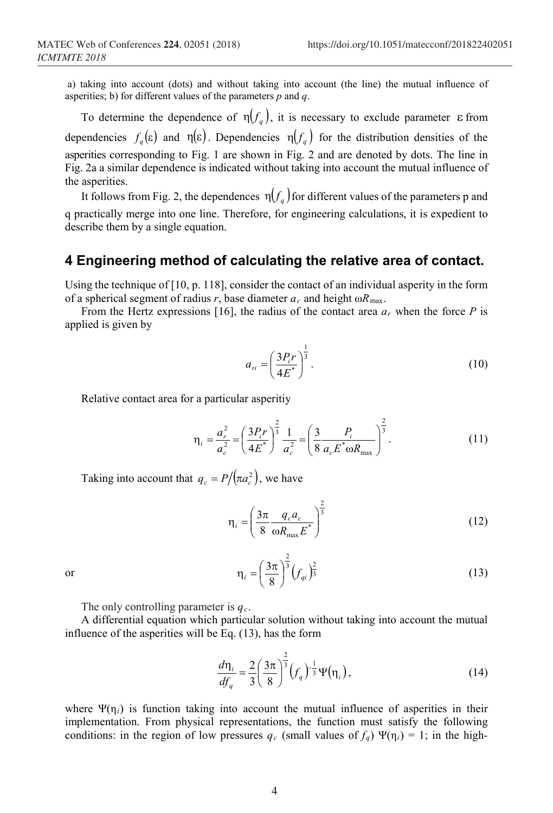a) taking into account (dots) and without taking into account (the line) the mutual influence of asperities; b) for different values of the parameters *p* and *q*.

To determine the dependence of  $\eta(f_a)$ , it is necessary to exclude parameter  $\varepsilon$  from dependencies  $f_a(\varepsilon)$  and  $\eta(\varepsilon)$ . Dependencies  $\eta(f_a)$  for the distribution densities of the asperities corresponding to Fig. 1 are shown in Fig. 2 and are denoted by dots. The line in Fig. 2a a similar dependence is indicated without taking into account the mutual influence of the asperities.

It follows from Fig. 2, the dependences  $\eta(f_a)$  for different values of the parameters p and q practically merge into one line. Therefore, for engineering calculations, it is expedient to describe them by a single equation.

### **4 Engineering method of calculating the relative area of contact.**

Using the technique of [10, p. 118], consider the contact of an individual asperity in the form of a spherical segment of radius *r*, base diameter  $a_c$  and height  $\omega R_{\text{max}}$ .

From the Hertz expressions [16], the radius of the contact area  $a_r$  when the force P is applied is given by

$$
a_{ri} = \left(\frac{3P_i r}{4E^*}\right)^{\frac{1}{3}}.
$$
 (10)

Relative contact area for a particular asperitiy

$$
\eta_i = \frac{a_r^2}{a_c^2} = \left(\frac{3P_i r}{4E^*}\right)^{\frac{2}{3}} \frac{1}{a_c^2} = \left(\frac{3}{8} \frac{P_i}{a_c E^* \omega R_{\text{max}}}\right)^{\frac{2}{3}}.
$$
\n(11)

Taking into account that  $q_c = P / (\pi a_c^2)$ , we have

$$
\eta_i = \left(\frac{3\pi}{8} \frac{q_c a_c}{\omega R_{\text{max}} E^*}\right)^{\frac{2}{3}}
$$
(12)

or 
$$
\eta_{i} = \left(\frac{3\pi}{8}\right)^{\frac{2}{3}} (f_{qi})^{\frac{2}{3}}
$$
 (13)

The only controlling parameter is  $q_c$ .

A differential equation which particular solution without taking into account the mutual influence of the asperities will be Eq. (13), has the form

 $\overline{\phantom{0}}$ 

$$
\frac{d\eta_i}{df_q} = \frac{2}{3} \left(\frac{3\pi}{8}\right)^{\frac{2}{3}} \left(f_q\right)^{-\frac{1}{3}} \Psi(\eta_i),\tag{14}
$$

where  $\Psi(\eta_i)$  is function taking into account the mutual influence of asperities in their implementation. From physical representations, the function must satisfy the following conditions: in the region of low pressures  $q_c$  (small values of  $f_q$ ) Ψ( $\eta_i$ ) = 1; in the high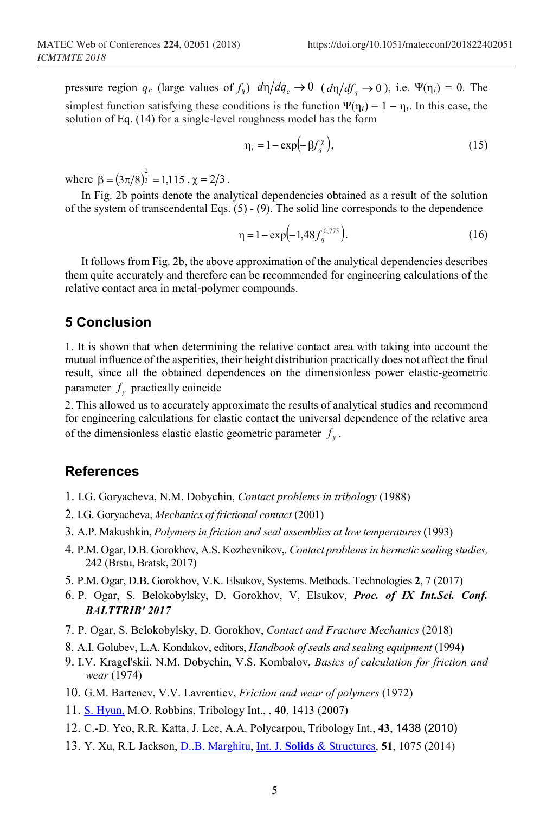pressure region  $q_c$  (large values of  $f_q$ )  $d\eta/dq_c \rightarrow 0$  ( $d\eta/df_a \rightarrow 0$ ), i.e. Ψ( $\eta_i$ ) = 0. The simplest function satisfying these conditions is the function  $\Psi(\eta_i) = 1 - \eta_i$ . In this case, the solution of Eq. (14) for a single-level roughness model has the form

$$
\eta_i = 1 - \exp\left(-\beta f_q^{\chi}\right),\tag{15}
$$

where  $\beta = (3\pi/8)^{\frac{2}{3}} = 1,115$ ,  $\chi = 2/3$ .

In Fig. 2b points denote the analytical dependencies obtained as a result of the solution of the system of transcendental Eqs. (5) - (9). The solid line corresponds to the dependence

$$
\eta = 1 - \exp\left(-1.48 f_q^{0.775}\right). \tag{16}
$$

It follows from Fig. 2b, the above approximation of the analytical dependencies describes them quite accurately and therefore can be recommended for engineering calculations of the relative contact area in metal-polymer compounds.

## **5 Conclusion**

1. It is shown that when determining the relative contact area with taking into account the mutual influence of the asperities, their height distribution practically does not affect the final result, since all the obtained dependences on the dimensionless power elastic-geometric parameter  $f_v$  practically coincide

2. This allowed us to accurately approximate the results of analytical studies and recommend for engineering calculations for elastic contact the universal dependence of the relative area of the dimensionless elastic elastic geometric parameter  $f_{\nu}$ .

### **References**

- 1. I.G. Goryacheva, N.M. Dobychin, *Contact problems in tribology* (1988)
- 2. I.G. Goryacheva, *Mechanics of frictional contact* (2001)
- 3. A.P. Makushkin, *Polymers in friction and seal assemblies at low temperatures* (1993)
- 4. P.M. Ogar, D.B. Gorokhov, A.S. Kozhevnikov**,**. *Contact problems in hermetic sealing studies,* 242 (Brstu, Bratsk, 2017)
- 5. P.M. Ogar, D.B. Gorokhov, V.K. Elsukov, Systems. Methods. Technologies **2**, 7 (2017)
- 6. P. Ogar, S. Belokobylsky, D. Gorokhov, V, Elsukov, *Proc. of IX Int.Sci. Conf. BALTTRIB' 2017*
- 7. P. Ogar, S. Belokobylsky, D. Gorokhov, *Contact and Fracture Mechanics* (2018)
- 8. A.I. Golubev, L.A. Kondakov, editors, *Handbook of seals and sealing equipment* (1994)
- 9. I.V. Kragel'skii, N.M. Dobychin, V.S. Kombalov, *Basics of calculation for friction and wear* (1974)
- 10. G.M. Bartenev, V.V. Lavrentiev, *Friction and wear of polymers* (1972)
- 11. [S. Hyun,](https://www.sciencedirect.com/science/article/pii/S0301679X07000369?via%3Dihub#!) M.O. Robbins, Tribology Int., , **40**, 1413 (2007)
- 12. C.-D. Yeo, R.R. Katta, J. Lee, A.A. Polycarpou, Tribology Int., **43**, 1438 (2010)
- 13. Y. Xu, R.L Jackson, [D..B. Marghitu,](https://www.sciencedirect.com/science/article/pii/S0020768313004782?via%3Dihub#!) Int. J. **Solids** & [Structures,](https://www.sciencedirect.com/science/journal/00207683) **51**, 1075 (2014)